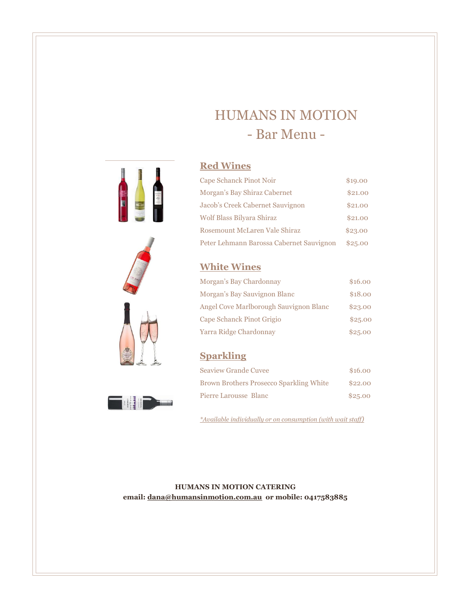# HUMANS IN MOTION - Bar Menu -



**THEFT** 

#### $\mathbf{Red\,Wines}$

| Cape Schanck Pinot Noir                  | \$19.00 |  |
|------------------------------------------|---------|--|
| Morgan's Bay Shiraz Cabernet             | \$21,00 |  |
| Jacob's Creek Cabernet Sauvignon         | \$21,00 |  |
| Wolf Blass Bilyara Shiraz                | \$21.00 |  |
| Rosemount McLaren Vale Shiraz            | \$23.00 |  |
| Peter Lehmann Barossa Cabernet Sauvignon | \$25.00 |  |

#### **White Wines**

| Morgan's Bay Chardonnay                | \$16.00 |
|----------------------------------------|---------|
| Morgan's Bay Sauvignon Blanc           | \$18.00 |
| Angel Cove Marlborough Sauvignon Blanc | \$23.00 |
| Cape Schanck Pinot Grigio              | \$25.00 |
| Yarra Ridge Chardonnay                 | \$25.00 |

### **Sparkling**

| <b>Seaview Grande Cuvee</b>                    | \$16.00 |
|------------------------------------------------|---------|
| <b>Brown Brothers Prosecco Sparkling White</b> | \$22.00 |
| Pierre Larousse Blanc                          | \$25.00 |

Assorted Rolls with Butter, Tea and Coffee supplied *\*Available individually or on consumption (with wait staff)*

**HUMANS IN MOTION CATERING email[: dana@humansinmotion.com.au](mailto:dana@humansinmotion.com.au) or mobile: 0417583885** [Menu item description.]